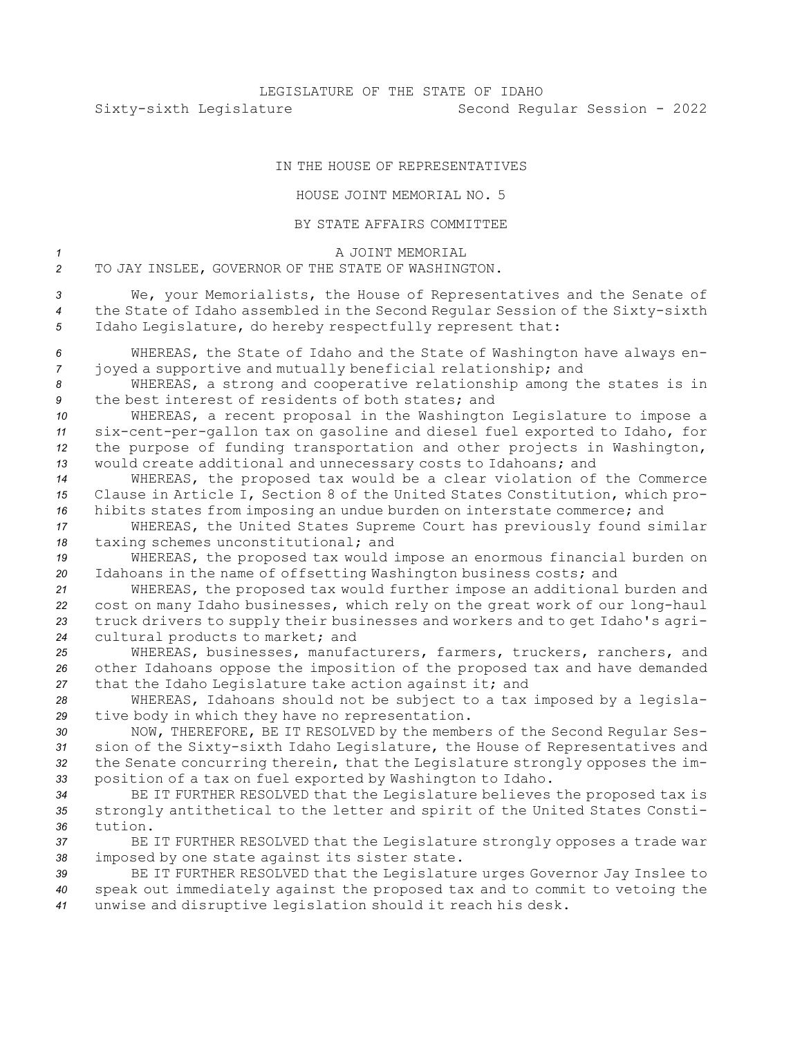## IN THE HOUSE OF REPRESENTATIVES

## HOUSE JOINT MEMORIAL NO. 5

## BY STATE AFFAIRS COMMITTEE

*1* A JOINT MEMORIAL *2* TO JAY INSLEE, GOVERNOR OF THE STATE OF WASHINGTON.

*<sup>3</sup>* We, your Memorialists, the House of Representatives and the Senate of *<sup>4</sup>* the State of Idaho assembled in the Second Regular Session of the Sixty-sixth *<sup>5</sup>* Idaho Legislature, do hereby respectfully represent that:

*<sup>6</sup>* WHEREAS, the State of Idaho and the State of Washington have always en-*<sup>7</sup>* joyed <sup>a</sup> supportive and mutually beneficial relationship; and

*<sup>8</sup>* WHEREAS, <sup>a</sup> strong and cooperative relationship among the states is in *9* the best interest of residents of both states; and

 WHEREAS, <sup>a</sup> recent proposal in the Washington Legislature to impose <sup>a</sup> six-cent-per-gallon tax on gasoline and diesel fuel exported to Idaho, for the purpose of funding transportation and other projects in Washington, would create additional and unnecessary costs to Idahoans; and

*<sup>14</sup>* WHEREAS, the proposed tax would be <sup>a</sup> clear violation of the Commerce *<sup>15</sup>* Clause in Article I, Section 8 of the United States Constitution, which pro-*<sup>16</sup>* hibits states from imposing an undue burden on interstate commerce; and

*<sup>17</sup>* WHEREAS, the United States Supreme Court has previously found similar *<sup>18</sup>* taxing schemes unconstitutional; and

*<sup>19</sup>* WHEREAS, the proposed tax would impose an enormous financial burden on *<sup>20</sup>* Idahoans in the name of offsetting Washington business costs; and

 WHEREAS, the proposed tax would further impose an additional burden and cost on many Idaho businesses, which rely on the great work of our long-haul truck drivers to supply their businesses and workers and to get Idaho's agri-cultural products to market; and

*<sup>25</sup>* WHEREAS, businesses, manufacturers, farmers, truckers, ranchers, and *<sup>26</sup>* other Idahoans oppose the imposition of the proposed tax and have demanded *<sup>27</sup>* that the Idaho Legislature take action against it; and

*<sup>28</sup>* WHEREAS, Idahoans should not be subject to <sup>a</sup> tax imposed by <sup>a</sup> legisla-*<sup>29</sup>* tive body in which they have no representation.

 NOW, THEREFORE, BE IT RESOLVED by the members of the Second Regular Ses- sion of the Sixty-sixth Idaho Legislature, the House of Representatives and the Senate concurring therein, that the Legislature strongly opposes the im-position of <sup>a</sup> tax on fuel exported by Washington to Idaho.

*<sup>34</sup>* BE IT FURTHER RESOLVED that the Legislature believes the proposed tax is *<sup>35</sup>* strongly antithetical to the letter and spirit of the United States Consti-*36* tution.

*<sup>37</sup>* BE IT FURTHER RESOLVED that the Legislature strongly opposes <sup>a</sup> trade war *<sup>38</sup>* imposed by one state against its sister state.

*<sup>39</sup>* BE IT FURTHER RESOLVED that the Legislature urges Governor Jay Inslee to *<sup>40</sup>* speak out immediately against the proposed tax and to commit to vetoing the *<sup>41</sup>* unwise and disruptive legislation should it reach his desk.